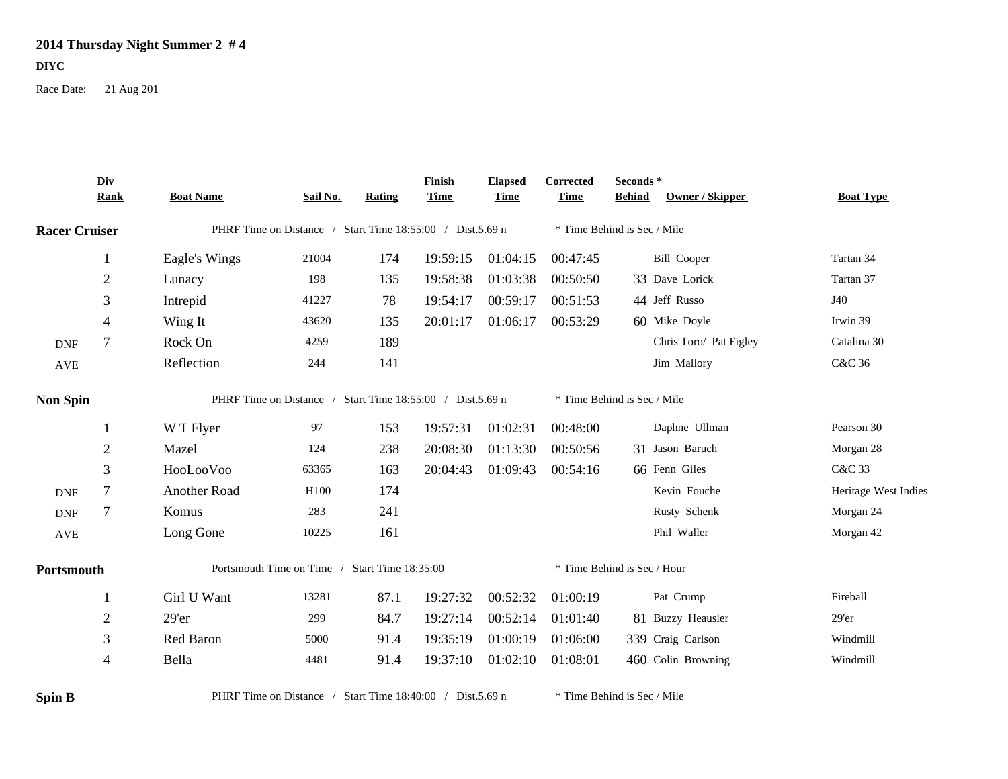## **2014 Thursday Night Summer 2 # 4**

## **DIYC**

Race Date: 21 Aug 201

|                      | Div<br><b>Rank</b> | <b>Boat Name</b>                                          | Sail No. | <b>Rating</b> | Finish<br><b>Time</b> | <b>Elapsed</b><br><b>Time</b> | Corrected<br><b>Time</b>    | Seconds*<br><b>Behind</b>   | <b>Owner / Skipper</b> | <b>Boat Type</b>     |
|----------------------|--------------------|-----------------------------------------------------------|----------|---------------|-----------------------|-------------------------------|-----------------------------|-----------------------------|------------------------|----------------------|
| <b>Racer Cruiser</b> |                    | PHRF Time on Distance / Start Time 18:55:00 / Dist.5.69 n |          |               |                       |                               | * Time Behind is Sec / Mile |                             |                        |                      |
|                      |                    | Eagle's Wings                                             | 21004    | 174           | 19:59:15              | 01:04:15                      | 00:47:45                    |                             | <b>Bill Cooper</b>     | Tartan 34            |
|                      | $\overline{2}$     | Lunacy                                                    | 198      | 135           | 19:58:38              | 01:03:38                      | 00:50:50                    |                             | 33 Dave Lorick         | Tartan 37            |
|                      | 3                  | Intrepid                                                  | 41227    | 78            | 19:54:17              | 00:59:17                      | 00:51:53                    | 44 Jeff Russo               |                        | J40                  |
|                      | $\overline{4}$     | Wing It                                                   | 43620    | 135           | 20:01:17              | 01:06:17                      | 00:53:29                    |                             | 60 Mike Doyle          | Irwin 39             |
| $\mathbf{DNF}$       | $\tau$             | Rock On                                                   | 4259     | 189           |                       |                               |                             |                             | Chris Toro/ Pat Figley | Catalina 30          |
| $\operatorname{AVE}$ |                    | Reflection                                                | 244      | 141           |                       |                               |                             |                             | Jim Mallory            | <b>C&amp;C 36</b>    |
| <b>Non Spin</b>      |                    | PHRF Time on Distance / Start Time 18:55:00 / Dist.5.69 n |          |               |                       |                               |                             | * Time Behind is Sec / Mile |                        |                      |
|                      | -1                 | W T Flyer                                                 | 97       | 153           | 19:57:31              | 01:02:31                      | 00:48:00                    |                             | Daphne Ullman          | Pearson 30           |
|                      | $\overline{2}$     | Mazel                                                     | 124      | 238           | 20:08:30              | 01:13:30                      | 00:50:56                    |                             | 31 Jason Baruch        | Morgan 28            |
|                      | 3                  | HooLooVoo                                                 | 63365    | 163           | 20:04:43              | 01:09:43                      | 00:54:16                    | 66 Fenn Giles               |                        | C&C 33               |
| <b>DNF</b>           | $\overline{7}$     | Another Road                                              | H100     | 174           |                       |                               |                             |                             | Kevin Fouche           | Heritage West Indies |
| $\mathbf{DNF}$       | $\tau$             | Komus                                                     | 283      | 241           |                       |                               |                             |                             | Rusty Schenk           | Morgan 24            |
| $\operatorname{AVE}$ |                    | Long Gone                                                 | 10225    | 161           |                       |                               |                             |                             | Phil Waller            | Morgan 42            |
| Portsmouth           |                    | Portsmouth Time on Time / Start Time 18:35:00             |          |               |                       |                               | * Time Behind is Sec / Hour |                             |                        |                      |
|                      | 1                  | Girl U Want                                               | 13281    | 87.1          | 19:27:32              | 00:52:32                      | 01:00:19                    |                             | Pat Crump              | Fireball             |
|                      | $\overline{2}$     | 29'er                                                     | 299      | 84.7          | 19:27:14              | 00:52:14                      | 01:01:40                    |                             | 81 Buzzy Heausler      | $29'$ er             |
|                      | 3                  | Red Baron                                                 | 5000     | 91.4          | 19:35:19              | 01:00:19                      | 01:06:00                    |                             | 339 Craig Carlson      | Windmill             |
|                      | $\overline{4}$     | Bella                                                     | 4481     | 91.4          | 19:37:10              | 01:02:10                      | 01:08:01                    |                             | 460 Colin Browning     | Windmill             |
| <b>Spin B</b>        |                    | PHRF Time on Distance / Start Time 18:40:00 / Dist.5.69 n |          |               |                       |                               |                             | * Time Behind is Sec / Mile |                        |                      |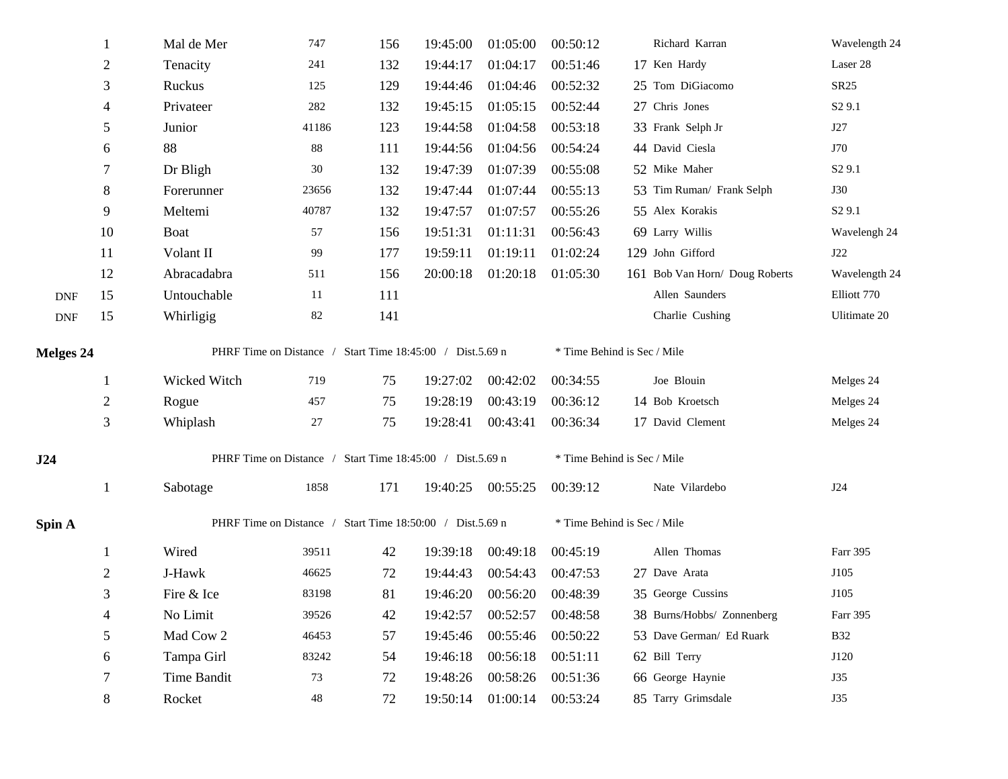|                  |                | Mal de Mer                                                | 747    | 156 | 19:45:00 | 01:05:00          | 00:50:12                    | Richard Karran                 | Wavelength 24      |  |
|------------------|----------------|-----------------------------------------------------------|--------|-----|----------|-------------------|-----------------------------|--------------------------------|--------------------|--|
|                  | $\sqrt{2}$     | Tenacity                                                  | 241    | 132 | 19:44:17 | 01:04:17          | 00:51:46                    | 17 Ken Hardy                   | Laser 28           |  |
|                  | 3              | Ruckus                                                    | 125    | 129 | 19:44:46 | 01:04:46          | 00:52:32                    | 25 Tom DiGiacomo               | SR25               |  |
|                  | 4              | Privateer                                                 | 282    | 132 | 19:45:15 | 01:05:15          | 00:52:44                    | 27 Chris Jones                 | S <sub>2</sub> 9.1 |  |
|                  | 5              | Junior                                                    | 41186  | 123 | 19:44:58 | 01:04:58          | 00:53:18                    | 33 Frank Selph Jr              | J27                |  |
|                  | 6              | 88                                                        | $88\,$ | 111 | 19:44:56 | 01:04:56          | 00:54:24                    | 44 David Ciesla                | J70                |  |
|                  | $\tau$         | Dr Bligh                                                  | 30     | 132 | 19:47:39 | 01:07:39          | 00:55:08                    | 52 Mike Maher                  | S <sub>2</sub> 9.1 |  |
|                  | 8              | Forerunner                                                | 23656  | 132 | 19:47:44 | 01:07:44          | 00:55:13                    | 53 Tim Ruman/ Frank Selph      | <b>J30</b>         |  |
|                  | 9              | Meltemi                                                   | 40787  | 132 | 19:47:57 | 01:07:57          | 00:55:26                    | 55 Alex Korakis                | S <sub>2</sub> 9.1 |  |
|                  | 10             | <b>Boat</b>                                               | 57     | 156 | 19:51:31 | 01:11:31          | 00:56:43                    | 69 Larry Willis                | Wavelengh 24       |  |
|                  | 11             | Volant II                                                 | 99     | 177 | 19:59:11 | 01:19:11          | 01:02:24                    | 129 John Gifford               | J22                |  |
|                  | 12             | Abracadabra                                               | 511    | 156 | 20:00:18 | 01:20:18          | 01:05:30                    | 161 Bob Van Horn/ Doug Roberts | Wavelength 24      |  |
| <b>DNF</b>       | 15             | Untouchable                                               | 11     | 111 |          |                   |                             | Allen Saunders                 | Elliott 770        |  |
| <b>DNF</b>       | 15             | Whirligig                                                 | 82     | 141 |          |                   |                             | Charlie Cushing                | Ulitimate 20       |  |
| <b>Melges 24</b> |                | PHRF Time on Distance / Start Time 18:45:00 / Dist.5.69 n |        |     |          |                   | * Time Behind is Sec / Mile |                                |                    |  |
|                  |                |                                                           |        |     |          |                   |                             |                                |                    |  |
|                  |                | Wicked Witch                                              | 719    | 75  | 19:27:02 | 00:42:02          | 00:34:55                    | Joe Blouin                     | Melges 24          |  |
|                  | $\mathbf{2}$   | Rogue                                                     | 457    | 75  | 19:28:19 | 00:43:19          | 00:36:12                    | 14 Bob Kroetsch                | Melges 24          |  |
|                  | $\mathfrak{Z}$ | Whiplash                                                  | $27\,$ | 75  | 19:28:41 | 00:43:41          | 00:36:34                    | 17 David Clement               | Melges 24          |  |
| J24              |                | PHRF Time on Distance / Start Time 18:45:00 / Dist.5.69 n |        |     |          |                   | * Time Behind is Sec / Mile |                                |                    |  |
|                  | 1              | Sabotage                                                  | 1858   | 171 |          | 19:40:25 00:55:25 | 00:39:12                    | Nate Vilardebo                 | J24                |  |
| Spin A           |                | PHRF Time on Distance / Start Time 18:50:00 / Dist.5.69 n |        |     |          |                   | * Time Behind is Sec / Mile |                                |                    |  |
|                  | 1              | Wired                                                     | 39511  | 42  | 19:39:18 | 00:49:18          | 00:45:19                    | Allen Thomas                   | Farr 395           |  |
|                  | $\overline{2}$ | J-Hawk                                                    | 46625  | 72  | 19:44:43 | 00:54:43          | 00:47:53                    | 27 Dave Arata                  | J105               |  |
|                  | 3              | Fire & Ice                                                | 83198  | 81  | 19:46:20 | 00:56:20          | 00:48:39                    | 35 George Cussins              | J105               |  |
|                  | 4              | No Limit                                                  | 39526  | 42  | 19:42:57 | 00:52:57          | 00:48:58                    | 38 Burns/Hobbs/ Zonnenberg     | Farr 395           |  |
|                  | $\mathfrak s$  | Mad Cow 2                                                 | 46453  | 57  | 19:45:46 | 00:55:46          | 00:50:22                    | 53 Dave German/ Ed Ruark       | <b>B32</b>         |  |
|                  | 6              | Tampa Girl                                                | 83242  | 54  | 19:46:18 | 00:56:18          | 00:51:11                    | 62 Bill Terry                  | J120               |  |
|                  | 7              | Time Bandit                                               | 73     | 72  | 19:48:26 | 00:58:26          | 00:51:36                    | 66 George Haynie               | J35                |  |
|                  | 8              | Rocket                                                    | 48     | 72  | 19:50:14 | 01:00:14          | 00:53:24                    | 85 Tarry Grimsdale             | J35                |  |